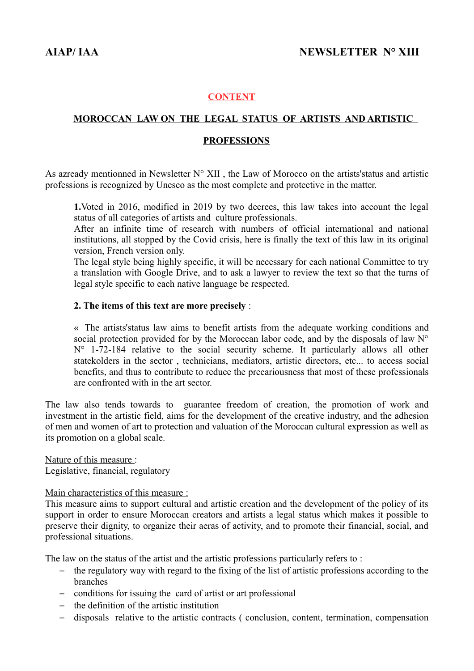### **CONTENT**

# **MOROCCAN LAW ON THE LEGAL STATUS OF ARTISTS AND ARTISTIC**

#### **PROFESSIONS**

As azready mentionned in Newsletter  $N^{\circ}$  XII, the Law of Morocco on the artists's tatus and artistic professions is recognized by Unesco as the most complete and protective in the matter.

**1.**Voted in 2016, modified in 2019 by two decrees, this law takes into account the legal status of all categories of artists and culture professionals.

After an infinite time of research with numbers of official international and national institutions, all stopped by the Covid crisis, here is finally the text of this law in its original version, French version only.

The legal style being highly specific, it will be necessary for each national Committee to try a translation with Google Drive, and to ask a lawyer to review the text so that the turns of legal style specific to each native language be respected.

#### **2. The items of this text are more precisely** :

« The artists'status law aims to benefit artists from the adequate working conditions and social protection provided for by the Moroccan labor code, and by the disposals of law N° N° 1-72-184 relative to the social security scheme. It particularly allows all other statekolders in the sector , technicians, mediators, artistic directors, etc... to access social benefits, and thus to contribute to reduce the precariousness that most of these professionals are confronted with in the art sector.

The law also tends towards to guarantee freedom of creation, the promotion of work and investment in the artistic field, aims for the development of the creative industry, and the adhesion of men and women of art to protection and valuation of the Moroccan cultural expression as well as its promotion on a global scale.

 Nature of this measure : Legislative, financial, regulatory

#### Main characteristics of this measure :

This measure aims to support cultural and artistic creation and the development of the policy of its support in order to ensure Moroccan creators and artists a legal status which makes it possible to preserve their dignity, to organize their aeras of activity, and to promote their financial, social, and professional situations.

The law on the status of the artist and the artistic professions particularly refers to:

- the regulatory way with regard to the fixing of the list of artistic professions according to the branches
- conditions for issuing the card of artist or art professional
- the definition of the artistic institution
- disposals relative to the artistic contracts ( conclusion, content, termination, compensation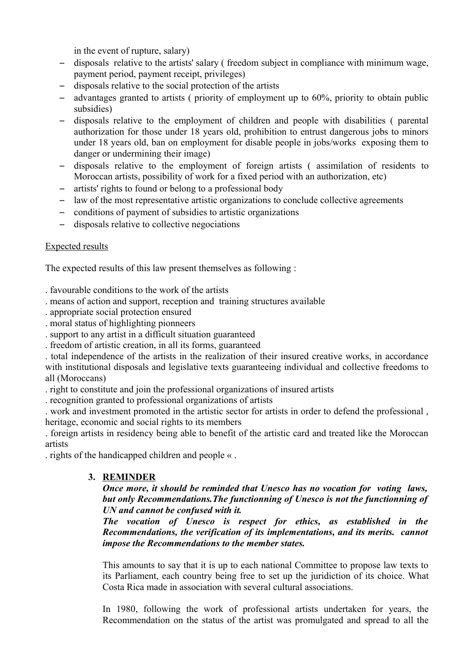in the event of rupture, salary)

- disposals relative to the artists' salary ( freedom subject in compliance with minimum wage, payment period, payment receipt, privileges)
- disposals relative to the social protection of the artists
- advantages granted to artists ( priority of employment up to 60%, priority to obtain public subsidies)
- disposals relative to the employment of children and people with disabilities ( parental authorization for those under 18 years old, prohibition to entrust dangerous jobs to minors under 18 years old, ban on employment for disable people in jobs/works exposing them to danger or undermining their image)
- disposals relative to the employment of foreign artists ( assimilation of residents to Moroccan artists, possibility of work for a fixed period with an authorization, etc)
- artists' rights to found or belong to a professional body
- law of the most representative artistic organizations to conclude collective agreements
- conditions of payment of subsidies to artistic organizations
- disposals relative to collective negociations

### Expected results

The expected results of this law present themselves as following :

. favourable conditions to the work of the artists

- . means of action and support, reception and training structures available
- . appropriate social protection ensured
- . moral status of highlighting pionneers
- . support to any artist in a difficult situation guaranteed
- . freedom of artistic creation, in all its forms, guaranteed

. total independence of the artists in the realization of their insured creative works, in accordance with institutional disposals and legislative texts guaranteeing individual and collective freedoms to all (Moroccans)

. right to constitute and join the professional organizations of insured artists

. recognition granted to professional organizations of artists

. work and investment promoted in the artistic sector for artists in order to defend the professional , heritage, economic and social rights to its members

. foreign artists in residency being able to benefit of the artistic card and treated like the Moroccan artists

. rights of the handicapped children and people « .

# **3. REMINDER**

*Once more, it should be reminded that Unesco has no vocation for voting laws, but only Recommendations.The functionning of Unesco is not the functionning of UN and cannot be confused with it.* 

*The vocation of Unesco is respect for ethics, as established in the Recommendations, the verification of its implementations, and its merits. cannot impose the Recommendations to the member states.*

This amounts to say that it is up to each national Committee to propose law texts to its Parliament, each country being free to set up the juridiction of its choice. What Costa Rica made in association with several cultural associations.

In 1980, following the work of professional artists undertaken for years, the Recommendation on the status of the artist was promulgated and spread to all the